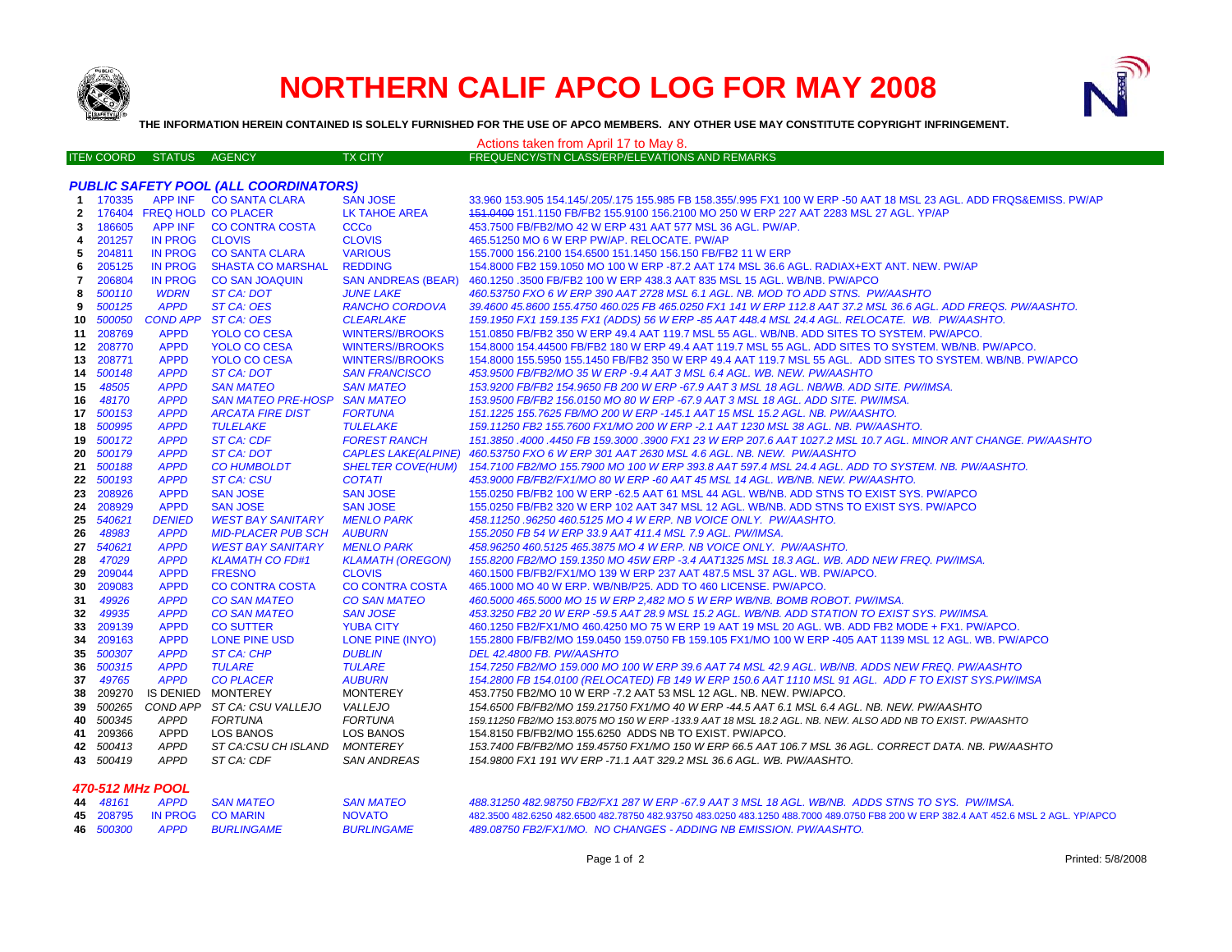

## **NORTHERN CALIF APCO LOG FOR MAY 2008**



**THE INFORMATION HEREIN CONTAINED IS SOLELY FURNISHED FOR THE USE OF APCO MEMBERS. ANY OTHER USE MAY CONSTITUTE COPYRIGHT INFRINGEMENT.**

|              |                                              |                  |                            |                          | Actions taken from April 17 to May 8                                                                                |  |  |
|--------------|----------------------------------------------|------------------|----------------------------|--------------------------|---------------------------------------------------------------------------------------------------------------------|--|--|
|              | <b>ITEN COORD</b>                            | <b>STATUS</b>    | AGENCY                     | <b>TX CITY</b>           | FREQUENCY/STN CLASS/ERP/ELEVATIONS AND REMARKS                                                                      |  |  |
|              |                                              |                  |                            |                          |                                                                                                                     |  |  |
|              | <b>PUBLIC SAFETY POOL (ALL COORDINATORS)</b> |                  |                            |                          |                                                                                                                     |  |  |
|              | 1 170335                                     |                  | APP INF CO SANTA CLARA     | <b>SAN JOSE</b>          | 33.960 153.905 154.145/.205/.175 155.985 FB 158.355/.995 FX1 100 W ERP -50 AAT 18 MSL 23 AGL. ADD FRQS&EMISS. PW/AP |  |  |
| $\mathbf{2}$ |                                              |                  | 176404 FREQ HOLD CO PLACER | LK TAHOE AREA            | 151.0400 151.1150 FB/FB2 155.9100 156.2100 MO 250 W ERP 227 AAT 2283 MSL 27 AGL. YP/AP                              |  |  |
| 3            | 186605                                       |                  | APP INF CO CONTRA COSTA    | <b>CCCo</b>              | 453.7500 FB/FB2/MO 42 W ERP 431 AAT 577 MSL 36 AGL. PW/AP.                                                          |  |  |
| 4            | 201257                                       | IN PROG CLOVIS   |                            | <b>CLOVIS</b>            | 465.51250 MO 6 W ERP PW/AP, RELOCATE, PW/AP                                                                         |  |  |
| 5            | 204811                                       |                  | IN PROG CO SANTA CLARA     | <b>VARIOUS</b>           | 155.7000 156.2100 154.6500 151.1450 156.150 FB/FB2 11 W ERP                                                         |  |  |
| 6            | 205125                                       | <b>IN PROG</b>   | <b>SHASTA CO MARSHAL</b>   | <b>REDDING</b>           | 154.8000 FB2 159.1050 MO 100 W ERP -87.2 AAT 174 MSL 36.6 AGL. RADIAX+EXT ANT. NEW. PW/AP                           |  |  |
| 7            | 206804                                       | <b>IN PROG</b>   | <b>CO SAN JOAQUIN</b>      |                          | SAN ANDREAS (BEAR) 460.1250 .3500 FB/FB2 100 W ERP 438.3 AAT 835 MSL 15 AGL. WB/NB. PW/APCO                         |  |  |
| 8            | 500110                                       | <b>WDRN</b>      | <b>ST CA: DOT</b>          | <b>JUNE LAKE</b>         | 460.53750 FXO 6 W ERP 390 AAT 2728 MSL 6.1 AGL. NB. MOD TO ADD STNS. PW/AASHTO                                      |  |  |
| 9            | 500125                                       | <b>APPD</b>      | ST CA: OES                 | <b>RANCHO CORDOVA</b>    | 39.4600 45.8600 155.4750 460.025 FB 465.0250 FX1 141 W ERP 112.8 AAT 37.2 MSL 36.6 AGL. ADD FREQS. PW/AASHTO.       |  |  |
| 10           | 500050                                       | <b>COND APP</b>  | ST CA: OES                 | <b>CLEARLAKE</b>         | 159.1950 FX1 159.135 FX1 (ADDS) 56 W ERP -85 AAT 448.4 MSL 24.4 AGL. RELOCATE. WB. PW/AASHTO.                       |  |  |
|              | 11 208769                                    | <b>APPD</b>      | <b>YOLO CO CESA</b>        | <b>WINTERS//BROOKS</b>   | 151.0850 FB/FB2 350 W ERP 49.4 AAT 119.7 MSL 55 AGL. WB/NB. ADD SITES TO SYSTEM. PW/APCO.                           |  |  |
| 12           | 208770                                       | <b>APPD</b>      | <b>YOLO CO CESA</b>        | <b>WINTERS//BROOKS</b>   | 154.8000 154.44500 FB/FB2 180 W ERP 49.4 AAT 119.7 MSL 55 AGL. ADD SITES TO SYSTEM. WB/NB. PW/APCO.                 |  |  |
| 13           | 208771                                       | <b>APPD</b>      | <b>YOLO CO CESA</b>        | <b>WINTERS//BROOKS</b>   | 154.8000 155.5950 155.1450 FB/FB2 350 W ERP 49.4 AAT 119.7 MSL 55 AGL. ADD SITES TO SYSTEM. WB/NB. PW/APCO          |  |  |
| 14           | 500148                                       | <b>APPD</b>      | <b>ST CA: DOT</b>          | <b>SAN FRANCISCO</b>     | 453.9500 FB/FB2/MO 35 W ERP -9.4 AAT 3 MSL 6.4 AGL. WB. NEW. PW/AASHTO                                              |  |  |
| 15           | 48505                                        | <b>APPD</b>      | <b>SAN MATEO</b>           | <b>SAN MATEO</b>         | 153.9200 FB/FB2 154.9650 FB 200 W ERP -67.9 AAT 3 MSL 18 AGL. NB/WB. ADD SITE. PW/IMSA.                             |  |  |
| 16           | 48170                                        | <b>APPD</b>      | <b>SAN MATEO PRE-HOSP</b>  | <b>SAN MATEO</b>         | 153.9500 FB/FB2 156.0150 MO 80 W ERP -67.9 AAT 3 MSL 18 AGL. ADD SITE. PW/IMSA.                                     |  |  |
|              | 17 500153                                    | <b>APPD</b>      | <b>ARCATA FIRE DIST</b>    | <b>FORTUNA</b>           | 151.1225 155.7625 FB/MO 200 W ERP -145.1 AAT 15 MSL 15.2 AGL. NB. PW/AASHTO.                                        |  |  |
| 18           | 500995                                       | <b>APPD</b>      | <b>TULELAKE</b>            | <b>TULELAKE</b>          | 159.11250 FB2 155.7600 FX1/MO 200 W ERP -2.1 AAT 1230 MSL 38 AGL. NB. PW/AASHTO.                                    |  |  |
| 19           | 500172                                       | <b>APPD</b>      | ST CA: CDF                 | <b>FOREST RANCH</b>      | 151.3850 .4000 .4450 FB 159.3000 .3900 FX1 23 W ERP 207.6 AAT 1027.2 MSL 10.7 AGL. MINOR ANT CHANGE. PW/AASHTO      |  |  |
| 20           | 500179                                       | <b>APPD</b>      | ST CA: DOT                 |                          | CAPLES LAKE(ALPINE) 460.53750 FXO 6 W ERP 301 AAT 2630 MSL 4.6 AGL. NB. NEW. PW/AASHTO                              |  |  |
|              | 21 500188                                    | <b>APPD</b>      | <b>CO HUMBOLDT</b>         | <b>SHELTER COVE(HUM)</b> | 154.7100 FB2/MO 155.7900 MO 100 W ERP 393.8 AAT 597.4 MSL 24.4 AGL. ADD TO SYSTEM. NB. PW/AASHTO.                   |  |  |
|              | 22 500193                                    | <b>APPD</b>      | <b>ST CA: CSU</b>          | <b>COTATI</b>            | 453.9000 FB/FB2/FX1/MO 80 W ERP -60 AAT 45 MSL 14 AGL. WB/NB. NEW. PW/AASHTO.                                       |  |  |
| 23           | 208926                                       | <b>APPD</b>      | <b>SAN JOSE</b>            | <b>SAN JOSE</b>          | 155.0250 FB/FB2 100 W ERP -62.5 AAT 61 MSL 44 AGL. WB/NB. ADD STNS TO EXIST SYS. PW/APCO                            |  |  |
| 24           | 208929                                       | <b>APPD</b>      | <b>SAN JOSE</b>            | <b>SAN JOSE</b>          | 155.0250 FB/FB2 320 W ERP 102 AAT 347 MSL 12 AGL. WB/NB. ADD STNS TO EXIST SYS. PW/APCO                             |  |  |
| 25           | 540621                                       | <b>DENIED</b>    | <b>WEST BAY SANITARY</b>   | <b>MENLO PARK</b>        | 458.11250.96250 460.5125 MO 4 W ERP. NB VOICE ONLY. PW/AASHTO.                                                      |  |  |
| 26           | 48983                                        | <b>APPD</b>      | <b>MID-PLACER PUB SCH</b>  | <b>AUBURN</b>            | 155.2050 FB 54 W ERP 33.9 AAT 411.4 MSL 7.9 AGL. PW/IMSA.                                                           |  |  |
| 27           | 540621                                       | <b>APPD</b>      | <b>WEST BAY SANITARY</b>   | <b>MENLO PARK</b>        | 458.96250 460.5125 465.3875 MO 4 W ERP. NB VOICE ONLY. PW/AASHTO.                                                   |  |  |
| 28           | 47029                                        | <b>APPD</b>      | <b>KLAMATH CO FD#1</b>     | <b>KLAMATH (OREGON)</b>  | 155.8200 FB2/MO 159.1350 MO 45W ERP -3.4 AAT1325 MSL 18.3 AGL. WB. ADD NEW FREQ. PW/IMSA.                           |  |  |
| 29           | 209044                                       | <b>APPD</b>      | <b>FRESNO</b>              | <b>CLOVIS</b>            | 460.1500 FB/FB2/FX1/MO 139 W ERP 237 AAT 487.5 MSL 37 AGL. WB. PW/APCO.                                             |  |  |
| 30           | 209083                                       | <b>APPD</b>      | <b>CO CONTRA COSTA</b>     | <b>CO CONTRA COSTA</b>   | 465.1000 MO 40 W ERP. WB/NB/P25. ADD TO 460 LICENSE. PW/APCO.                                                       |  |  |
| 31           | 49926                                        | <b>APPD</b>      | <b>CO SAN MATEO</b>        | <b>CO SAN MATEO</b>      | 460.5000 465.5000 MO 15 W ERP 2,482 MO 5 W ERP WB/NB. BOMB ROBOT. PW/IMSA.                                          |  |  |
| 32           | 49935                                        | <b>APPD</b>      | <b>CO SAN MATEO</b>        | <b>SAN JOSE</b>          | 453.3250 FB2 20 W ERP -59.5 AAT 28.9 MSL 15.2 AGL. WB/NB. ADD STATION TO EXIST SYS. PW/IMSA.                        |  |  |
| 33           | 209139                                       | <b>APPD</b>      | <b>CO SUTTER</b>           | <b>YUBA CITY</b>         | 460.1250 FB2/FX1/MO 460.4250 MO 75 W ERP 19 AAT 19 MSL 20 AGL. WB. ADD FB2 MODE + FX1. PW/APCO.                     |  |  |
| 34           | 209163                                       | <b>APPD</b>      | LONE PINE USD              | LONE PINE (INYO)         | 155.2800 FB/FB2/MO 159.0450 159.0750 FB 159.105 FX1/MO 100 W ERP -405 AAT 1139 MSL 12 AGL. WB. PW/APCO              |  |  |
| 35           | 500307                                       | <b>APPD</b>      | <b>ST CA: CHP</b>          | <b>DUBLIN</b>            | DEL 42.4800 FB. PW/AASHTO                                                                                           |  |  |
| 36           | 500315                                       | <b>APPD</b>      | <b>TULARE</b>              | <b>TULARE</b>            | 154.7250 FB2/MO 159.000 MO 100 W ERP 39.6 AAT 74 MSL 42.9 AGL. WB/NB. ADDS NEW FREQ. PW/AASHTO                      |  |  |
| 37           | 49765                                        | <b>APPD</b>      | <b>CO PLACER</b>           | <b>AUBURN</b>            | 154,2800 FB 154,0100 (RELOCATED) FB 149 W ERP 150.6 AAT 1110 MSL 91 AGL. ADD F TO EXIST SYS.PW/IMSA                 |  |  |
| 38           | 209270                                       |                  | IS DENIED MONTEREY         | <b>MONTEREY</b>          | 453.7750 FB2/MO 10 W ERP -7.2 AAT 53 MSL 12 AGL. NB. NEW. PW/APCO.                                                  |  |  |
| 39           | 500265                                       | COND APP         | ST CA: CSU VALLEJO         | <b>VALLEJO</b>           | 154.6500 FB/FB2/MO 159.21750 FX1/MO 40 W ERP -44.5 AAT 6.1 MSL 6.4 AGL. NB. NEW. PW/AASHTO                          |  |  |
| 40           | 500345                                       | APPD             | <b>FORTUNA</b>             | <b>FORTUNA</b>           | 159.11250 FB2/MO 153.8075 MO 150 W ERP -133.9 AAT 18 MSL 18.2 AGL. NB. NEW. ALSO ADD NB TO EXIST. PW/AASHTO         |  |  |
| 41           | 209366                                       | APPD             | <b>LOS BANOS</b>           | LOS BANOS                | 154.8150 FB/FB2/MO 155.6250 ADDS NB TO EXIST. PW/APCO.                                                              |  |  |
|              | 42 500413                                    | APPD             | ST CA:CSU CH ISLAND        | <b>MONTEREY</b>          | 153.7400 FB/FB2/MO 159.45750 FX1/MO 150 W ERP 66.5 AAT 106.7 MSL 36 AGL. CORRECT DATA. NB. PW/AASHTO                |  |  |
|              | 43 500419                                    | APPD             | ST CA: CDF                 | <b>SAN ANDREAS</b>       | 154.9800 FX1 191 WV ERP -71.1 AAT 329.2 MSL 36.6 AGL. WB. PW/AASHTO.                                                |  |  |
|              |                                              | 470-512 MHz POOL |                            |                          |                                                                                                                     |  |  |
|              |                                              |                  | <b>SAN MATEO</b>           | <b>SAN MATEO</b>         | 488.31250 482.98750 FB2/FX1 287 W ERP -67.9 AAT 3 MSL 18 AGL, WB/NB, ADDS STNS TO SYS, PW/IMSA.                     |  |  |
|              |                                              | 44 48161 APPD    |                            |                          |                                                                                                                     |  |  |

|  | 44 48161 APPD SANMATEO    | <b>SAN MATEO</b>  | 488.31250 482.98750 FB2/FX1 287 W ERP -67.9 AAT 3 MSL 18 AGL. WB/NB.  ADDS STNS TO SYS.  PW/IMSA.  .                                |
|--|---------------------------|-------------------|-------------------------------------------------------------------------------------------------------------------------------------|
|  | 45 208795 IN PROG COMARIN | <b>NOVATO</b>     | 482.3500 482.6250 482.6500 482.78750 482.93750 483.0250 483.1250 488.7000 489.0750 FB8 200 W ERP 382.4 AAT 452.6 MSL 2 AGL. YP/APCO |
|  | 46 500300 APPD BURLINGAME | <b>BURLINGAME</b> | 489.08750 FB2/FX1/MO. NO CHANGES - ADDING NB EMISSION. PW/AASHTO.                                                                   |